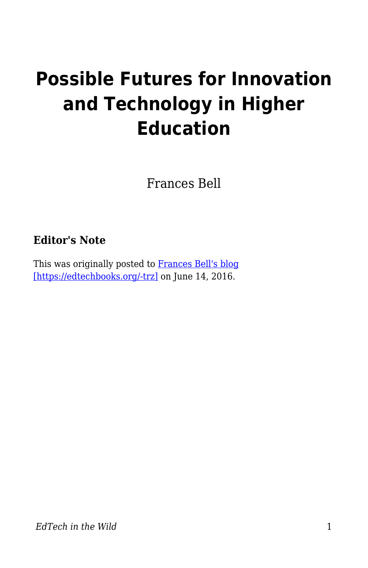# **Possible Futures for Innovation and Technology in Higher Education**

Frances Bell

#### **Editor's Note**

This was originally posted to [Frances Bell's blog](https://francesbell.com/bellblog/possible-futures-for-innovation-and-technology-in-higher-education/) [\[https://edtechbooks.org/-trz\]](https://francesbell.com/bellblog/possible-futures-for-innovation-and-technology-in-higher-education/) on June 14, 2016.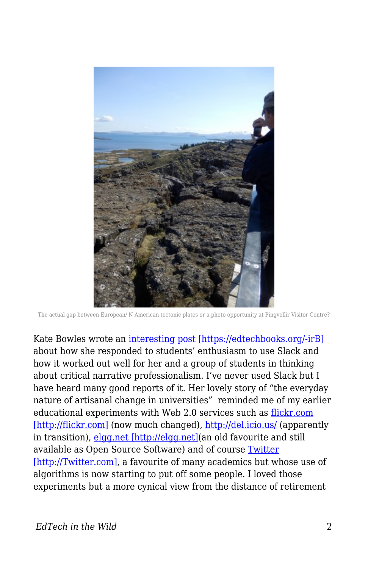

The actual gap between European/ N American tectonic plates or a photo opportunity at Pingvellir Visitor Centre?

Kate Bowles wrote an [interesting post \[https://edtechbooks.org/-irB\]](http://musicfordeckchairs.com/blog/2016/06/12/content-its-us) about how she responded to students' enthusiasm to use Slack and how it worked out well for her and a group of students in thinking about critical narrative professionalism. I've never used Slack but I have heard many good reports of it. Her lovely story of "the everyday nature of artisanal change in universities" reminded me of my earlier educational experiments with Web 2.0 services such as [flickr.com](http://flickr.com) [\[http://flickr.com\]](http://flickr.com) (now much changed), <http://del.icio.us/> (apparently in transition), [elgg.net \[http://elgg.net\]](http://elgg.net)(an old favourite and still available as Open Source Software) and of course [Twitter](http://Twitter.com) [\[http://Twitter.com\]](http://Twitter.com), a favourite of many academics but whose use of algorithms is now starting to put off some people. I loved those experiments but a more cynical view from the distance of retirement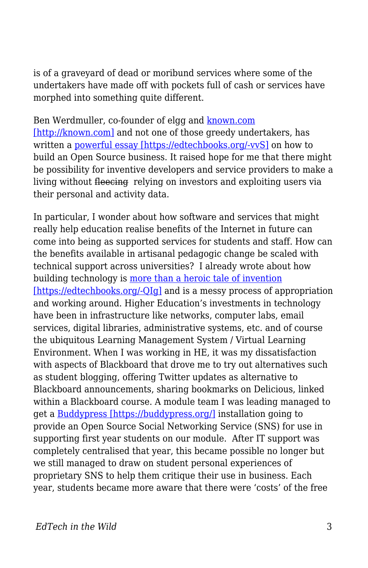is of a graveyard of dead or moribund services where some of the undertakers have made off with pockets full of cash or services have morphed into something quite different.

Ben Werdmuller, co-founder of elgg and [known.com](http://known.com) [\[http://known.com\]](http://known.com) and not one of those greedy undertakers, has written a [powerful essay \[https://edtechbooks.org/-vvS\]](http://werd.io/2015/open-issues-lessons-learned-building-an-open-source-business) on how to build an Open Source business. It raised hope for me that there might be possibility for inventive developers and service providers to make a living without fleecing relying on investors and exploiting users via their personal and activity data.

In particular, I wonder about how software and services that might really help education realise benefits of the Internet in future can come into being as supported services for students and staff. How can the benefits available in artisanal pedagogic change be scaled with technical support across universities? I already wrote about how building technology is [more than a heroic tale of invention](http://francesbell.com/fedwikihappening/a-dialogue-for-shaping-educational-technology/) [\[https://edtechbooks.org/-QIg\]](http://francesbell.com/fedwikihappening/a-dialogue-for-shaping-educational-technology/) and is a messy process of appropriation and working around. Higher Education's investments in technology have been in infrastructure like networks, computer labs, email services, digital libraries, administrative systems, etc. and of course the ubiquitous Learning Management System / Virtual Learning Environment. When I was working in HE, it was my dissatisfaction with aspects of Blackboard that drove me to try out alternatives such as student blogging, offering Twitter updates as alternative to Blackboard announcements, sharing bookmarks on Delicious, linked within a Blackboard course. A module team I was leading managed to get a [Buddypress \[https://buddypress.org/\]](https://buddypress.org/) installation going to provide an Open Source Social Networking Service (SNS) for use in supporting first year students on our module. After IT support was completely centralised that year, this became possible no longer but we still managed to draw on student personal experiences of proprietary SNS to help them critique their use in business. Each year, students became more aware that there were 'costs' of the free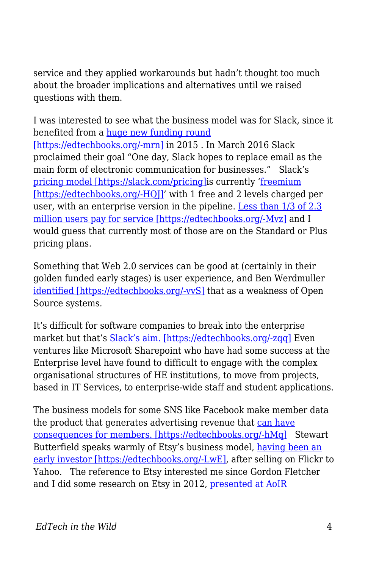service and they applied workarounds but hadn't thought too much about the broader implications and alternatives until we raised questions with them.

I was interested to see what the business model was for Slack, since it benefited from a [huge new funding round](http://www.theverge.com/2015/4/17/8431989/slacks-massive-new-funding-round-is-everything-amazing-and-insane) [\[https://edtechbooks.org/-mrn\]](http://www.theverge.com/2015/4/17/8431989/slacks-massive-new-funding-round-is-everything-amazing-and-insane) in 2015. In March 2016 Slack proclaimed their goal "One day, Slack hopes to replace email as the main form of electronic communication for businesses." Slack's [pricing model \[https://slack.com/pricing\]](https://slack.com/pricing)is currently ['freemium](https://en.wikipedia.org/wiki/Freemium) [\[https://edtechbooks.org/-HQJ\]](https://en.wikipedia.org/wiki/Freemium)' with 1 free and 2 levels charged per user, with an enterprise version in the pipeline. [Less than 1/3 of 2.3](http://www.businessinsider.com.au/thrive-leads-slacks-round-of-financing-at-a-37-billion-valuation-2016-3) [million users pay for service \[https://edtechbooks.org/-Mvz\]](http://www.businessinsider.com.au/thrive-leads-slacks-round-of-financing-at-a-37-billion-valuation-2016-3) and I would guess that currently most of those are on the Standard or Plus pricing plans.

Something that Web 2.0 services can be good at (certainly in their golden funded early stages) is user experience, and Ben Werdmuller [identified \[https://edtechbooks.org/-vvS\]](http://werd.io/2015/open-issues-lessons-learned-building-an-open-source-business) that as a weakness of Open Source systems.

It's difficult for software companies to break into the enterprise market but that's [Slack's aim. \[https://edtechbooks.org/-zqq\]](http://techcrunch.com/2016/04/01/can-slack-transform-enterprise-communication-once-and-for-all/) Even ventures like Microsoft Sharepoint who have had some success at the Enterprise level have found to difficult to engage with the complex organisational structures of HE institutions, to move from projects, based in IT Services, to enterprise-wide staff and student applications.

The business models for some SNS like Facebook make member data the product that generates advertising revenue that [can have](http://networkedlearningconference.org.uk/abstracts/pdf/S3_Paper1.pdf) [consequences for members. \[https://edtechbooks.org/-hMq\]](http://networkedlearningconference.org.uk/abstracts/pdf/S3_Paper1.pdf) Stewart Butterfield speaks warmly of Etsy's business model, [having been an](https://www.crunchbase.com/person/stewart-butterfield/investments) [early investor \[https://edtechbooks.org/-LwE\]](https://www.crunchbase.com/person/stewart-butterfield/investments), after selling on Flickr to Yahoo. The reference to Etsy interested me since Gordon Fletcher and I did some research on Etsy in 2012, [presented at AoIR](https://prezi.com/zijoozxwtn_a/the-meaning-of-making-mixing-craft-and-industrial-processes-in-social-e-commerce/)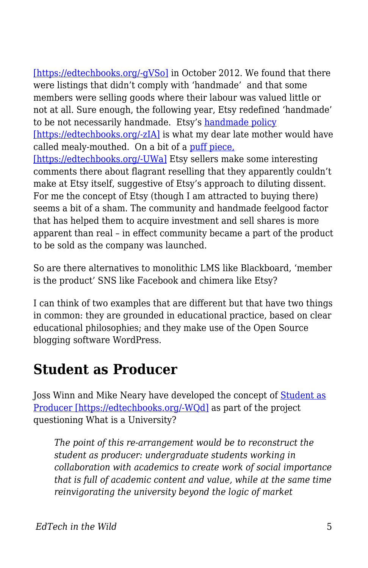[\[https://edtechbooks.org/-gVSo\]](https://prezi.com/zijoozxwtn_a/the-meaning-of-making-mixing-craft-and-industrial-processes-in-social-e-commerce/) in October 2012. We found that there were listings that didn't comply with 'handmade' and that some members were selling goods where their labour was valued little or not at all. Sure enough, the following year, Etsy redefined 'handmade' to be not necessarily handmade. Etsy's [handmade policy](https://www.etsy.com/uk/legal/handmade) [\[https://edtechbooks.org/-zIA\]](https://www.etsy.com/uk/legal/handmade) is what my dear late mother would have called mealy-mouthed. On a bit of a [puff piece,](https://gigaom.com/2013/08/23/meet-the-man-behind-new-yorks-other-billion-dollar-internet-company-this-one-makes-money/) [\[https://edtechbooks.org/-UWa\]](https://gigaom.com/2013/08/23/meet-the-man-behind-new-yorks-other-billion-dollar-internet-company-this-one-makes-money/) Etsy sellers make some interesting comments there about flagrant reselling that they apparently couldn't make at Etsy itself, suggestive of Etsy's approach to diluting dissent. For me the concept of Etsy (though I am attracted to buying there) seems a bit of a sham. The community and handmade feelgood factor that has helped them to acquire investment and sell shares is more apparent than real – in effect community became a part of the product to be sold as the company was launched.

So are there alternatives to monolithic LMS like Blackboard, 'member is the product' SNS like Facebook and chimera like Etsy?

I can think of two examples that are different but that have two things in common: they are grounded in educational practice, based on clear educational philosophies; and they make use of the Open Source blogging software WordPress.

#### **Student as Producer**

Joss Winn and Mike Neary have developed the concept of **Student** as [Producer \[https://edtechbooks.org/-WQd\]](http://eprints.lincoln.ac.uk/1675/1/Future_of_HE_-_Chapter_10.pdf) as part of the project questioning What is a University?

*The point of this re-arrangement would be to reconstruct the student as producer: undergraduate students working in collaboration with academics to create work of social importance that is full of academic content and value, while at the same time reinvigorating the university beyond the logic of market*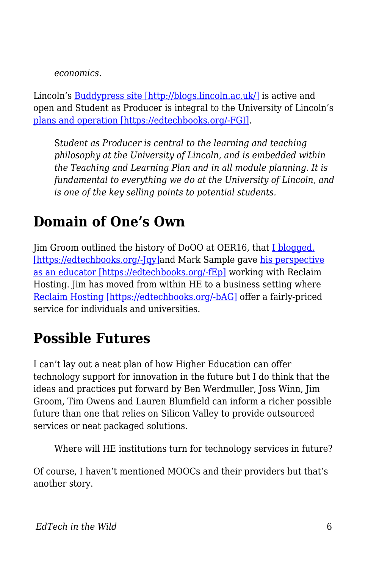*economics.*

Lincoln's [Buddypress site \[http://blogs.lincoln.ac.uk/\]](http://blogs.lincoln.ac.uk/) is active and open and Student as Producer is integral to the University of Lincoln's [plans and operation \[https://edtechbooks.org/-FGI\]](http://edeu.lincoln.ac.uk/student-as-producer/).

S*tudent as Producer is central to the learning and teaching philosophy at the University of Lincoln, and is embedded within the Teaching and Learning Plan and in all module planning. It is fundamental to everything we do at the University of Lincoln, and is one of the key selling points to potential students.*

## **Domain of One's Own**

Jim Groom outlined the history of DoOO at OER16, that [I blogged,](http://francesbell.com/bellblog/oer16-can-we-imagine-tech-infrastructure-as-an-open-educational-resource-or-clouds-containers-and-apis-oh-my/) [\[https://edtechbooks.org/-Jqy\]a](http://francesbell.com/bellblog/oer16-can-we-imagine-tech-infrastructure-as-an-open-educational-resource-or-clouds-containers-and-apis-oh-my/)nd Mark Sample gave [his perspective](http://chronicle.com/blogs/profhacker/teaching-a-domain-of-ones-own-with-reclaim-hosting/52279) [as an educator \[https://edtechbooks.org/-fEp\]](http://chronicle.com/blogs/profhacker/teaching-a-domain-of-ones-own-with-reclaim-hosting/52279) working with Reclaim Hosting. Jim has moved from within HE to a business setting where [Reclaim Hosting \[https://edtechbooks.org/-bAG\]](https://reclaimhosting.com/about/) offer a fairly-priced service for individuals and universities.

### **Possible Futures**

I can't lay out a neat plan of how Higher Education can offer technology support for innovation in the future but I do think that the ideas and practices put forward by Ben Werdmuller, Joss Winn, Jim Groom, Tim Owens and Lauren Blumfield can inform a richer possible future than one that relies on Silicon Valley to provide outsourced services or neat packaged solutions.

Where will HE institutions turn for technology services in future?

Of course, I haven't mentioned MOOCs and their providers but that's another story.